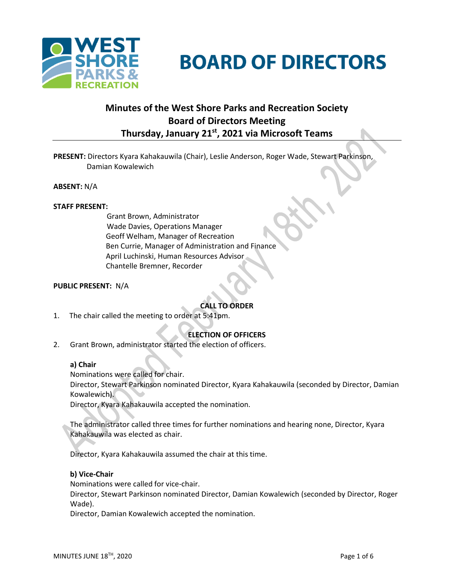

# **BOARD OF DIRECTORS**

# **Minutes of the West Shore Parks and Recreation Society Board of Directors Meeting Thursday, January 21st , 2021 via Microsoft Teams**

**PRESENT:** Directors Kyara Kahakauwila (Chair), Leslie Anderson, Roger Wade, Stewart Parkinson, Damian Kowalewich

**ABSENT:** N/A

#### **STAFF PRESENT:**

Grant Brown, Administrator Wade Davies, Operations Manager Geoff Welham, Manager of Recreation Ben Currie, Manager of Administration and Finance April Luchinski, Human Resources Advisor Chantelle Bremner, Recorder

#### **PUBLIC PRESENT:** N/A

# **CALL TO ORDER**

1. The chair called the meeting to order at 5:41pm.

# **ELECTION OF OFFICERS**

2. Grant Brown, administrator started the election of officers.

#### **a) Chair**

Nominations were called for chair.

Director, Stewart Parkinson nominated Director, Kyara Kahakauwila (seconded by Director, Damian Kowalewich).

Director, Kyara Kahakauwila accepted the nomination.

The administrator called three times for further nominations and hearing none, Director, Kyara Kahakauwila was elected as chair.

Director, Kyara Kahakauwila assumed the chair at this time.

#### **b) Vice-Chair**

Nominations were called for vice-chair.

Director, Stewart Parkinson nominated Director, Damian Kowalewich (seconded by Director, Roger Wade).

Director, Damian Kowalewich accepted the nomination.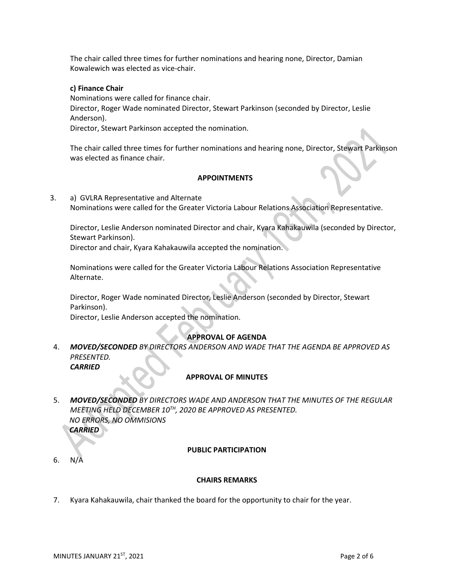The chair called three times for further nominations and hearing none, Director, Damian Kowalewich was elected as vice-chair.

#### **c) Finance Chair**

Nominations were called for finance chair. Director, Roger Wade nominated Director, Stewart Parkinson (seconded by Director, Leslie Anderson). Director, Stewart Parkinson accepted the nomination.

The chair called three times for further nominations and hearing none, Director, Stewart Parkinson was elected as finance chair.

#### **APPOINTMENTS**

3. a) GVLRA Representative and Alternate Nominations were called for the Greater Victoria Labour Relations Association Representative.

Director, Leslie Anderson nominated Director and chair, Kyara Kahakauwila (seconded by Director, Stewart Parkinson).

Director and chair, Kyara Kahakauwila accepted the nomination.

Nominations were called for the Greater Victoria Labour Relations Association Representative Alternate.

Director, Roger Wade nominated Director, Leslie Anderson (seconded by Director, Stewart Parkinson).

Director, Leslie Anderson accepted the nomination.

#### **APPROVAL OF AGENDA**

4. *MOVED/SECONDED BY DIRECTORS ANDERSON AND WADE THAT THE AGENDA BE APPROVED AS PRESENTED. CARRIED*

#### **APPROVAL OF MINUTES**

5. *MOVED/SECONDED BY DIRECTORS WADE AND ANDERSON THAT THE MINUTES OF THE REGULAR MEETING HELD DECEMBER 10TH, 2020 BE APPROVED AS PRESENTED. NO ERRORS, NO OMMISIONS*

*CARRIED*

#### **PUBLIC PARTICIPATION**

6. N/A

#### **CHAIRS REMARKS**

7. Kyara Kahakauwila, chair thanked the board for the opportunity to chair for the year.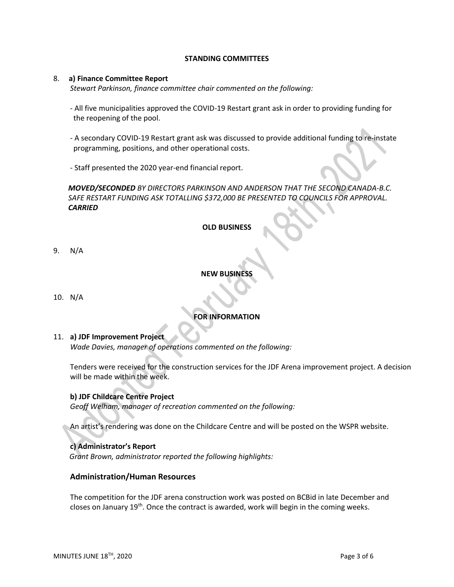#### **STANDING COMMITTEES**

#### 8. **a) Finance Committee Report**

*Stewart Parkinson, finance committee chair commented on the following:*

- All five municipalities approved the COVID-19 Restart grant ask in order to providing funding for the reopening of the pool.
- A secondary COVID-19 Restart grant ask was discussed to provide additional funding to re-instate programming, positions, and other operational costs.
- Staff presented the 2020 year-end financial report.

# *MOVED/SECONDED BY DIRECTORS PARKINSON AND ANDERSON THAT THE SECOND CANADA-B.C. SAFE RESTART FUNDING ASK TOTALLING \$372,000 BE PRESENTED TO COUNCILS FOR APPROVAL. CARRIED*

#### **OLD BUSINESS**

9. N/A

#### **NEW BUSINESS**

10.N/A

# **FOR INFORMATION**

#### 11. **a) JDF Improvement Project**

*Wade Davies, manager of operations commented on the following:*

Tenders were received for the construction services for the JDF Arena improvement project. A decision will be made within the week.

#### **b) JDF Childcare Centre Project**

*Geoff Welham, manager of recreation commented on the following:*

An artist's rendering was done on the Childcare Centre and will be posted on the WSPR website.

#### **c) Administrator's Report**

*Grant Brown, administrator reported the following highlights:*

#### **Administration/Human Resources**

The competition for the JDF arena construction work was posted on BCBid in late December and closes on January 19<sup>th</sup>. Once the contract is awarded, work will begin in the coming weeks.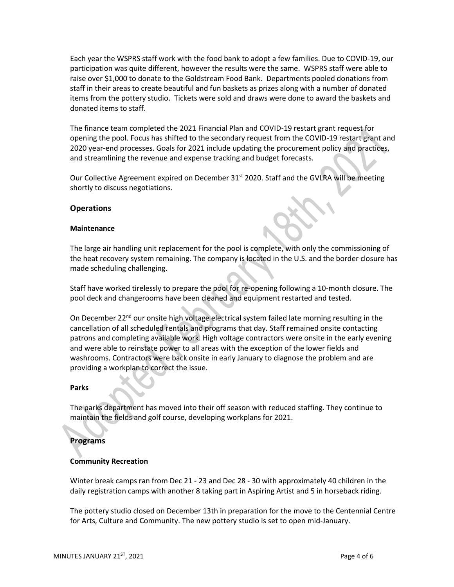Each year the WSPRS staff work with the food bank to adopt a few families. Due to COVID-19, our participation was quite different, however the results were the same. WSPRS staff were able to raise over \$1,000 to donate to the Goldstream Food Bank. Departments pooled donations from staff in their areas to create beautiful and fun baskets as prizes along with a number of donated items from the pottery studio. Tickets were sold and draws were done to award the baskets and donated items to staff.

The finance team completed the 2021 Financial Plan and COVID-19 restart grant request for opening the pool. Focus has shifted to the secondary request from the COVID-19 restart grant and 2020 year-end processes. Goals for 2021 include updating the procurement policy and practices, and streamlining the revenue and expense tracking and budget forecasts.

Our Collective Agreement expired on December 31<sup>st</sup> 2020. Staff and the GVLRA will be meeting shortly to discuss negotiations.

#### **Operations**

#### **Maintenance**

The large air handling unit replacement for the pool is complete, with only the commissioning of the heat recovery system remaining. The company is located in the U.S. and the border closure has made scheduling challenging.

Staff have worked tirelessly to prepare the pool for re-opening following a 10-month closure. The pool deck and changerooms have been cleaned and equipment restarted and tested.

On December 22<sup>nd</sup> our onsite high voltage electrical system failed late morning resulting in the cancellation of all scheduled rentals and programs that day. Staff remained onsite contacting patrons and completing available work. High voltage contractors were onsite in the early evening and were able to reinstate power to all areas with the exception of the lower fields and washrooms. Contractors were back onsite in early January to diagnose the problem and are providing a workplan to correct the issue.

#### **Parks**

The parks department has moved into their off season with reduced staffing. They continue to maintain the fields and golf course, developing workplans for 2021.

#### **Programs**

#### **Community Recreation**

Winter break camps ran from Dec 21 - 23 and Dec 28 - 30 with approximately 40 children in the daily registration camps with another 8 taking part in Aspiring Artist and 5 in horseback riding.

The pottery studio closed on December 13th in preparation for the move to the Centennial Centre for Arts, Culture and Community. The new pottery studio is set to open mid-January.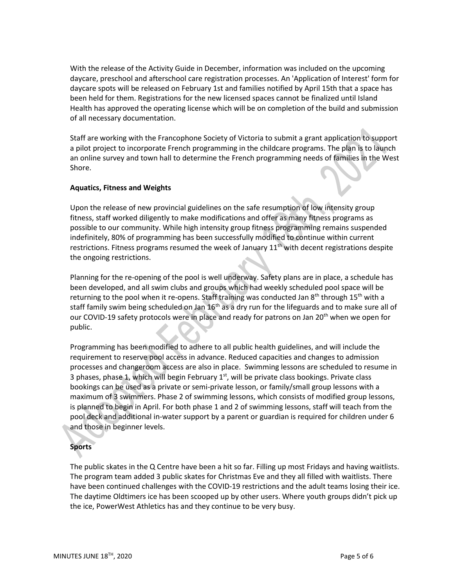With the release of the Activity Guide in December, information was included on the upcoming daycare, preschool and afterschool care registration processes. An 'Application of Interest' form for daycare spots will be released on February 1st and families notified by April 15th that a space has been held for them. Registrations for the new licensed spaces cannot be finalized until Island Health has approved the operating license which will be on completion of the build and submission of all necessary documentation.

Staff are working with the Francophone Society of Victoria to submit a grant application to support a pilot project to incorporate French programming in the childcare programs. The plan is to launch an online survey and town hall to determine the French programming needs of families in the West Shore.

## **Aquatics, Fitness and Weights**

Upon the release of new provincial guidelines on the safe resumption of low intensity group fitness, staff worked diligently to make modifications and offer as many fitness programs as possible to our community. While high intensity group fitness programming remains suspended indefinitely, 80% of programming has been successfully modified to continue within current restrictions. Fitness programs resumed the week of January  $11<sup>th</sup>$  with decent registrations despite the ongoing restrictions.

Planning for the re-opening of the pool is well underway. Safety plans are in place, a schedule has been developed, and all swim clubs and groups which had weekly scheduled pool space will be returning to the pool when it re-opens. Staff training was conducted Jan 8<sup>th</sup> through 15<sup>th</sup> with a staff family swim being scheduled on Jan 16<sup>th</sup> as a dry run for the lifeguards and to make sure all of our COVID-19 safety protocols were in place and ready for patrons on Jan 20<sup>th</sup> when we open for public.

Programming has been modified to adhere to all public health guidelines, and will include the requirement to reserve pool access in advance. Reduced capacities and changes to admission processes and changeroom access are also in place. Swimming lessons are scheduled to resume in 3 phases, phase 1, which will begin February  $1<sup>st</sup>$ , will be private class bookings. Private class bookings can be used as a private or semi-private lesson, or family/small group lessons with a maximum of 3 swimmers. Phase 2 of swimming lessons, which consists of modified group lessons, is planned to begin in April. For both phase 1 and 2 of swimming lessons, staff will teach from the pool deck and additional in-water support by a parent or guardian is required for children under 6 and those in beginner levels.

# **Sports**

The public skates in the Q Centre have been a hit so far. Filling up most Fridays and having waitlists. The program team added 3 public skates for Christmas Eve and they all filled with waitlists. There have been continued challenges with the COVID-19 restrictions and the adult teams losing their ice. The daytime Oldtimers ice has been scooped up by other users. Where youth groups didn't pick up the ice, PowerWest Athletics has and they continue to be very busy.